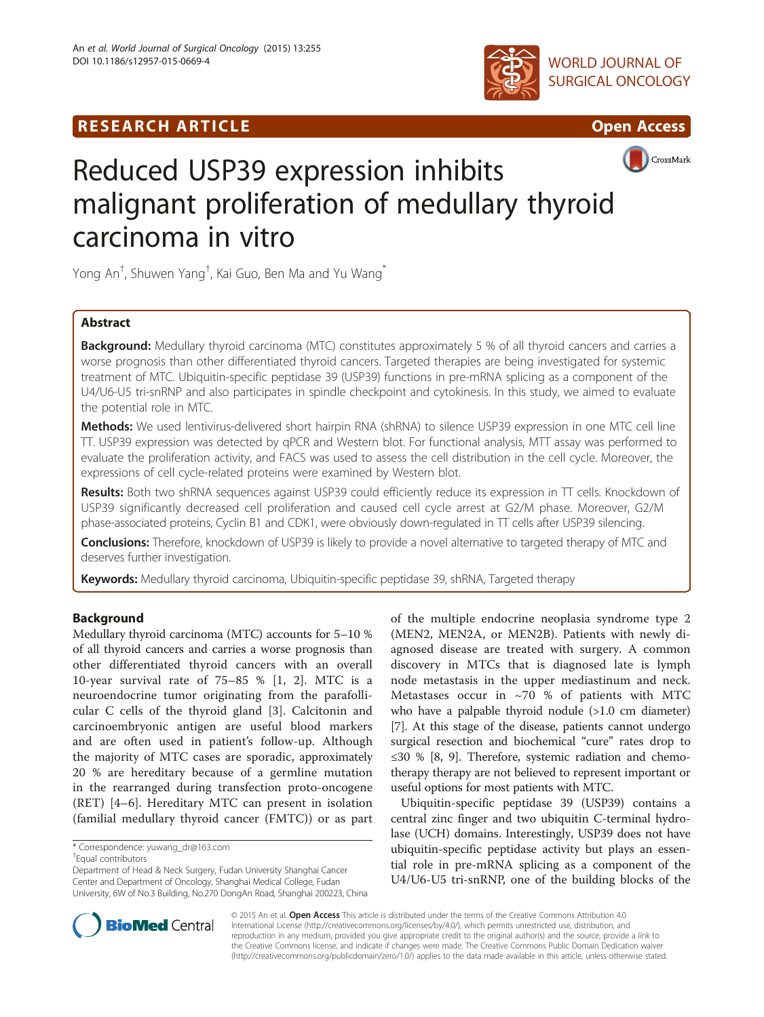





# CrossMark

# Reduced USP39 expression inhibits malignant proliferation of medullary thyroid carcinoma in vitro

Yong An $^\dagger$ , Shuwen Yang $^\dagger$ , Kai Guo, Ben Ma and Yu Wang $^*$ 

# Abstract

Background: Medullary thyroid carcinoma (MTC) constitutes approximately 5 % of all thyroid cancers and carries a worse prognosis than other differentiated thyroid cancers. Targeted therapies are being investigated for systemic treatment of MTC. Ubiquitin-specific peptidase 39 (USP39) functions in pre-mRNA splicing as a component of the U4/U6-U5 tri-snRNP and also participates in spindle checkpoint and cytokinesis. In this study, we aimed to evaluate the potential role in MTC.

Methods: We used lentivirus-delivered short hairpin RNA (shRNA) to silence USP39 expression in one MTC cell line TT. USP39 expression was detected by qPCR and Western blot. For functional analysis, MTT assay was performed to evaluate the proliferation activity, and FACS was used to assess the cell distribution in the cell cycle. Moreover, the expressions of cell cycle-related proteins were examined by Western blot.

Results: Both two shRNA sequences against USP39 could efficiently reduce its expression in TT cells. Knockdown of USP39 significantly decreased cell proliferation and caused cell cycle arrest at G2/M phase. Moreover, G2/M phase-associated proteins, Cyclin B1 and CDK1, were obviously down-regulated in TT cells after USP39 silencing.

Conclusions: Therefore, knockdown of USP39 is likely to provide a novel alternative to targeted therapy of MTC and deserves further investigation.

Keywords: Medullary thyroid carcinoma, Ubiquitin-specific peptidase 39, shRNA, Targeted therapy

# Background

Medullary thyroid carcinoma (MTC) accounts for 5–10 % of all thyroid cancers and carries a worse prognosis than other differentiated thyroid cancers with an overall 10-year survival rate of 75–85 % [[1, 2\]](#page-5-0). MTC is a neuroendocrine tumor originating from the parafollicular C cells of the thyroid gland [\[3](#page-5-0)]. Calcitonin and carcinoembryonic antigen are useful blood markers and are often used in patient's follow-up. Although the majority of MTC cases are sporadic, approximately 20 % are hereditary because of a germline mutation in the rearranged during transfection proto-oncogene (RET) [[4](#page-5-0)–[6](#page-5-0)]. Hereditary MTC can present in isolation (familial medullary thyroid cancer (FMTC)) or as part

\* Correspondence: [yuwang\\_dr@163.com](mailto:yuwang_dr@163.com) †

Equal contributors

Department of Head & Neck Surgery, Fudan University Shanghai Cancer Center and Department of Oncology, Shanghai Medical College, Fudan University, 6W of No.3 Building, No.270 DongAn Road, Shanghai 200223, China of the multiple endocrine neoplasia syndrome type 2 (MEN2, MEN2A, or MEN2B). Patients with newly diagnosed disease are treated with surgery. A common discovery in MTCs that is diagnosed late is lymph node metastasis in the upper mediastinum and neck. Metastases occur in  $\sim70$  % of patients with MTC who have a palpable thyroid nodule (>1.0 cm diameter) [[7\]](#page-5-0). At this stage of the disease, patients cannot undergo surgical resection and biochemical "cure" rates drop to ≤30 % [\[8](#page-5-0), [9\]](#page-5-0). Therefore, systemic radiation and chemotherapy therapy are not believed to represent important or useful options for most patients with MTC.

Ubiquitin-specific peptidase 39 (USP39) contains a central zinc finger and two ubiquitin C-terminal hydrolase (UCH) domains. Interestingly, USP39 does not have ubiquitin-specific peptidase activity but plays an essential role in pre-mRNA splicing as a component of the U4/U6-U5 tri-snRNP, one of the building blocks of the



© 2015 An et al. Open Access This article is distributed under the terms of the Creative Commons Attribution 4.0 International License [\(http://creativecommons.org/licenses/by/4.0/](http://creativecommons.org/licenses/by/4.0/)), which permits unrestricted use, distribution, and reproduction in any medium, provided you give appropriate credit to the original author(s) and the source, provide a link to the Creative Commons license, and indicate if changes were made. The Creative Commons Public Domain Dedication waiver [\(http://creativecommons.org/publicdomain/zero/1.0/](http://creativecommons.org/publicdomain/zero/1.0/)) applies to the data made available in this article, unless otherwise stated.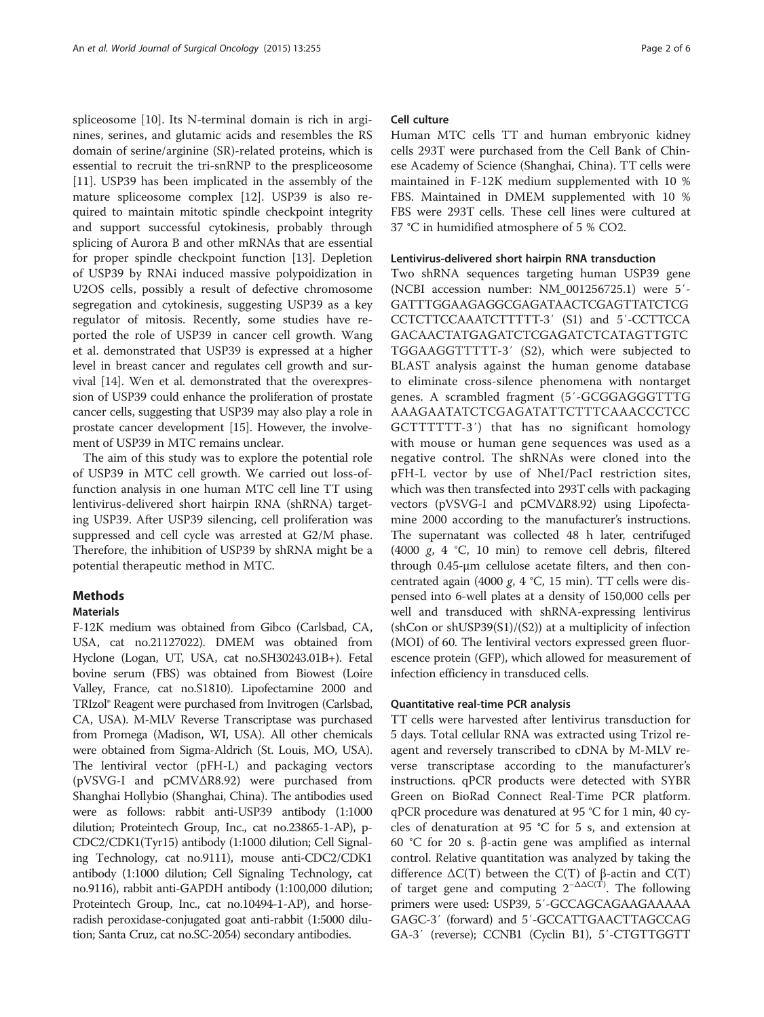spliceosome [\[10\]](#page-5-0). Its N-terminal domain is rich in arginines, serines, and glutamic acids and resembles the RS domain of serine/arginine (SR)-related proteins, which is essential to recruit the tri-snRNP to the prespliceosome [[11\]](#page-5-0). USP39 has been implicated in the assembly of the mature spliceosome complex [[12\]](#page-5-0). USP39 is also required to maintain mitotic spindle checkpoint integrity and support successful cytokinesis, probably through splicing of Aurora B and other mRNAs that are essential for proper spindle checkpoint function [[13\]](#page-5-0). Depletion of USP39 by RNAi induced massive polypoidization in U2OS cells, possibly a result of defective chromosome segregation and cytokinesis, suggesting USP39 as a key regulator of mitosis. Recently, some studies have reported the role of USP39 in cancer cell growth. Wang et al. demonstrated that USP39 is expressed at a higher level in breast cancer and regulates cell growth and survival [[14\]](#page-5-0). Wen et al. demonstrated that the overexpression of USP39 could enhance the proliferation of prostate cancer cells, suggesting that USP39 may also play a role in prostate cancer development [[15\]](#page-5-0). However, the involvement of USP39 in MTC remains unclear.

The aim of this study was to explore the potential role of USP39 in MTC cell growth. We carried out loss-offunction analysis in one human MTC cell line TT using lentivirus-delivered short hairpin RNA (shRNA) targeting USP39. After USP39 silencing, cell proliferation was suppressed and cell cycle was arrested at G2/M phase. Therefore, the inhibition of USP39 by shRNA might be a potential therapeutic method in MTC.

# Methods

# Materials

F-12K medium was obtained from Gibco (Carlsbad, CA, USA, cat no.21127022). DMEM was obtained from Hyclone (Logan, UT, USA, cat no.SH30243.01B+). Fetal bovine serum (FBS) was obtained from Biowest (Loire Valley, France, cat no.S1810). Lipofectamine 2000 and TRIzol® Reagent were purchased from Invitrogen (Carlsbad, CA, USA). M-MLV Reverse Transcriptase was purchased from Promega (Madison, WI, USA). All other chemicals were obtained from Sigma-Aldrich (St. Louis, MO, USA). The lentiviral vector (pFH-L) and packaging vectors (pVSVG-I and pCMVΔR8.92) were purchased from Shanghai Hollybio (Shanghai, China). The antibodies used were as follows: rabbit anti-USP39 antibody (1:1000 dilution; Proteintech Group, Inc., cat no.23865-1-AP), p-CDC2/CDK1(Tyr15) antibody (1:1000 dilution; Cell Signaling Technology, cat no.9111), mouse anti-CDC2/CDK1 antibody (1:1000 dilution; Cell Signaling Technology, cat no.9116), rabbit anti-GAPDH antibody (1:100,000 dilution; Proteintech Group, Inc., cat no.10494-1-AP), and horseradish peroxidase-conjugated goat anti-rabbit (1:5000 dilution; Santa Cruz, cat no.SC-2054) secondary antibodies.

#### Cell culture

Human MTC cells TT and human embryonic kidney cells 293T were purchased from the Cell Bank of Chinese Academy of Science (Shanghai, China). TT cells were maintained in F-12K medium supplemented with 10 % FBS. Maintained in DMEM supplemented with 10 % FBS were 293T cells. These cell lines were cultured at 37 °C in humidified atmosphere of 5 % CO2.

### Lentivirus-delivered short hairpin RNA transduction

Two shRNA sequences targeting human USP39 gene (NCBI accession number: NM\_001256725.1) were 5′- GATTTGGAAGAGGCGAGATAACTCGAGTTATCTCG CCTCTTCCAAATCTTTTT-3′ (S1) and 5′-CCTTCCA GACAACTATGAGATCTCGAGATCTCATAGTTGTC TGGAAGGTTTTT-3′ (S2), which were subjected to BLAST analysis against the human genome database to eliminate cross-silence phenomena with nontarget genes. A scrambled fragment (5′-GCGGAGGGTTTG AAAGAATATCTCGAGATATTCTTTCAAACCCTCC GCTTTTTT-3′) that has no significant homology with mouse or human gene sequences was used as a negative control. The shRNAs were cloned into the pFH-L vector by use of NheI/PacI restriction sites, which was then transfected into 293T cells with packaging vectors (pVSVG-I and pCMVΔR8.92) using Lipofectamine 2000 according to the manufacturer's instructions. The supernatant was collected 48 h later, centrifuged (4000  $g$ , 4 °C, 10 min) to remove cell debris, filtered through 0.45-μm cellulose acetate filters, and then concentrated again (4000 g, 4  $°C$ , 15 min). TT cells were dispensed into 6-well plates at a density of 150,000 cells per well and transduced with shRNA-expressing lentivirus (shCon or shUSP39(S1)/(S2)) at a multiplicity of infection (MOI) of 60. The lentiviral vectors expressed green fluorescence protein (GFP), which allowed for measurement of infection efficiency in transduced cells.

#### Quantitative real-time PCR analysis

TT cells were harvested after lentivirus transduction for 5 days. Total cellular RNA was extracted using Trizol reagent and reversely transcribed to cDNA by M-MLV reverse transcriptase according to the manufacturer's instructions. qPCR products were detected with SYBR Green on BioRad Connect Real-Time PCR platform. qPCR procedure was denatured at 95 °C for 1 min, 40 cycles of denaturation at 95 °C for 5 s, and extension at 60 °C for 20 s. β-actin gene was amplified as internal control. Relative quantitation was analyzed by taking the difference  $ΔC(T)$  between the  $C(T)$  of β-actin and  $C(T)$ of target gene and computing  $2^{-\Delta\Delta C(T)}$ . The following primers were used: USP39, 5′-GCCAGCAGAAGAAAAA GAGC-3′ (forward) and 5′-GCCATTGAACTTAGCCAG GA-3′ (reverse); CCNB1 (Cyclin B1), 5′-CTGTTGGTT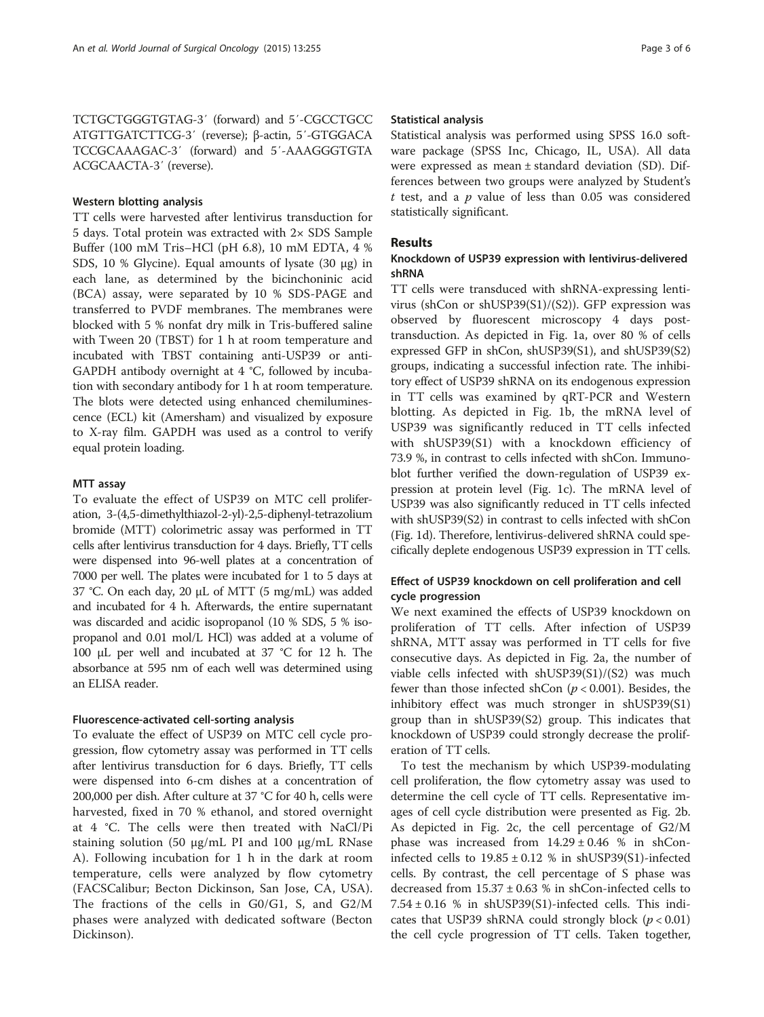TCTGCTGGGTGTAG-3′ (forward) and 5′-CGCCTGCC ATGTTGATCTTCG-3′ (reverse); β-actin, 5′-GTGGACA TCCGCAAAGAC-3′ (forward) and 5′-AAAGGGTGTA ACGCAACTA-3′ (reverse).

#### Western blotting analysis

TT cells were harvested after lentivirus transduction for 5 days. Total protein was extracted with 2× SDS Sample Buffer (100 mM Tris–HCl (pH 6.8), 10 mM EDTA, 4 % SDS, 10 % Glycine). Equal amounts of lysate (30 μg) in each lane, as determined by the bicinchoninic acid (BCA) assay, were separated by 10 % SDS-PAGE and transferred to PVDF membranes. The membranes were blocked with 5 % nonfat dry milk in Tris-buffered saline with Tween 20 (TBST) for 1 h at room temperature and incubated with TBST containing anti-USP39 or anti-GAPDH antibody overnight at 4 °C, followed by incubation with secondary antibody for 1 h at room temperature. The blots were detected using enhanced chemiluminescence (ECL) kit (Amersham) and visualized by exposure to X-ray film. GAPDH was used as a control to verify equal protein loading.

#### MTT assay

To evaluate the effect of USP39 on MTC cell proliferation, 3-(4,5-dimethylthiazol-2-yl)-2,5-diphenyl-tetrazolium bromide (MTT) colorimetric assay was performed in TT cells after lentivirus transduction for 4 days. Briefly, TT cells were dispensed into 96-well plates at a concentration of 7000 per well. The plates were incubated for 1 to 5 days at 37 °C. On each day, 20 μL of MTT (5 mg/mL) was added and incubated for 4 h. Afterwards, the entire supernatant was discarded and acidic isopropanol (10 % SDS, 5 % isopropanol and 0.01 mol/L HCl) was added at a volume of 100 μL per well and incubated at 37 °C for 12 h. The absorbance at 595 nm of each well was determined using an ELISA reader.

#### Fluorescence-activated cell-sorting analysis

To evaluate the effect of USP39 on MTC cell cycle progression, flow cytometry assay was performed in TT cells after lentivirus transduction for 6 days. Briefly, TT cells were dispensed into 6-cm dishes at a concentration of 200,000 per dish. After culture at 37 °C for 40 h, cells were harvested, fixed in 70 % ethanol, and stored overnight at 4 °C. The cells were then treated with NaCl/Pi staining solution (50 μg/mL PI and 100 μg/mL RNase A). Following incubation for 1 h in the dark at room temperature, cells were analyzed by flow cytometry (FACSCalibur; Becton Dickinson, San Jose, CA, USA). The fractions of the cells in G0/G1, S, and G2/M phases were analyzed with dedicated software (Becton Dickinson).

#### Statistical analysis

Statistical analysis was performed using SPSS 16.0 software package (SPSS Inc, Chicago, IL, USA). All data were expressed as mean ± standard deviation (SD). Differences between two groups were analyzed by Student's  $t$  test, and a  $p$  value of less than 0.05 was considered statistically significant.

#### Results

# Knockdown of USP39 expression with lentivirus-delivered shRNA

TT cells were transduced with shRNA-expressing lentivirus (shCon or shUSP39(S1)/(S2)). GFP expression was observed by fluorescent microscopy 4 days posttransduction. As depicted in Fig. [1a](#page-3-0), over 80 % of cells expressed GFP in shCon, shUSP39(S1), and shUSP39(S2) groups, indicating a successful infection rate. The inhibitory effect of USP39 shRNA on its endogenous expression in TT cells was examined by qRT-PCR and Western blotting. As depicted in Fig. [1b,](#page-3-0) the mRNA level of USP39 was significantly reduced in TT cells infected with shUSP39(S1) with a knockdown efficiency of 73.9 %, in contrast to cells infected with shCon. Immunoblot further verified the down-regulation of USP39 expression at protein level (Fig. [1c\)](#page-3-0). The mRNA level of USP39 was also significantly reduced in TT cells infected with shUSP39(S2) in contrast to cells infected with shCon (Fig. [1d](#page-3-0)). Therefore, lentivirus-delivered shRNA could specifically deplete endogenous USP39 expression in TT cells.

# Effect of USP39 knockdown on cell proliferation and cell cycle progression

We next examined the effects of USP39 knockdown on proliferation of TT cells. After infection of USP39 shRNA, MTT assay was performed in TT cells for five consecutive days. As depicted in Fig. [2a](#page-4-0), the number of viable cells infected with shUSP39(S1)/(S2) was much fewer than those infected shCon ( $p < 0.001$ ). Besides, the inhibitory effect was much stronger in shUSP39(S1) group than in shUSP39(S2) group. This indicates that knockdown of USP39 could strongly decrease the proliferation of TT cells.

To test the mechanism by which USP39-modulating cell proliferation, the flow cytometry assay was used to determine the cell cycle of TT cells. Representative images of cell cycle distribution were presented as Fig. [2b](#page-4-0). As depicted in Fig. [2c](#page-4-0), the cell percentage of G2/M phase was increased from  $14.29 \pm 0.46$  % in shConinfected cells to  $19.85 \pm 0.12$  % in shUSP39(S1)-infected cells. By contrast, the cell percentage of S phase was decreased from  $15.37 \pm 0.63$  % in shCon-infected cells to  $7.54 \pm 0.16$  % in shUSP39(S1)-infected cells. This indicates that USP39 shRNA could strongly block  $(p < 0.01)$ the cell cycle progression of TT cells. Taken together,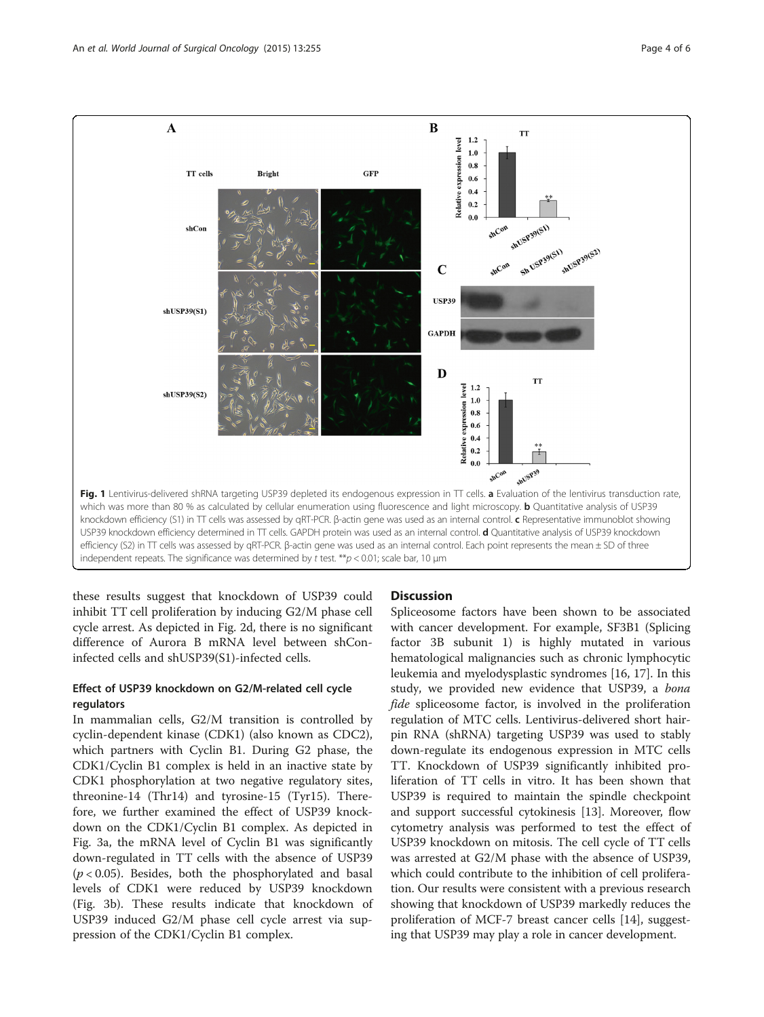<span id="page-3-0"></span>

these results suggest that knockdown of USP39 could inhibit TT cell proliferation by inducing G2/M phase cell cycle arrest. As depicted in Fig. [2d](#page-4-0), there is no significant difference of Aurora B mRNA level between shConinfected cells and shUSP39(S1)-infected cells.

# Effect of USP39 knockdown on G2/M-related cell cycle regulators

In mammalian cells, G2/M transition is controlled by cyclin-dependent kinase (CDK1) (also known as CDC2), which partners with Cyclin B1. During G2 phase, the CDK1/Cyclin B1 complex is held in an inactive state by CDK1 phosphorylation at two negative regulatory sites, threonine-14 (Thr14) and tyrosine-15 (Tyr15). Therefore, we further examined the effect of USP39 knockdown on the CDK1/Cyclin B1 complex. As depicted in Fig. [3a](#page-4-0), the mRNA level of Cyclin B1 was significantly down-regulated in TT cells with the absence of USP39  $(p < 0.05)$ . Besides, both the phosphorylated and basal levels of CDK1 were reduced by USP39 knockdown (Fig. [3b\)](#page-4-0). These results indicate that knockdown of USP39 induced G2/M phase cell cycle arrest via suppression of the CDK1/Cyclin B1 complex.

# **Discussion**

Spliceosome factors have been shown to be associated with cancer development. For example, SF3B1 (Splicing factor 3B subunit 1) is highly mutated in various hematological malignancies such as chronic lymphocytic leukemia and myelodysplastic syndromes [\[16](#page-5-0), [17\]](#page-5-0). In this study, we provided new evidence that USP39, a bona fide spliceosome factor, is involved in the proliferation regulation of MTC cells. Lentivirus-delivered short hairpin RNA (shRNA) targeting USP39 was used to stably down-regulate its endogenous expression in MTC cells TT. Knockdown of USP39 significantly inhibited proliferation of TT cells in vitro. It has been shown that USP39 is required to maintain the spindle checkpoint and support successful cytokinesis [\[13](#page-5-0)]. Moreover, flow cytometry analysis was performed to test the effect of USP39 knockdown on mitosis. The cell cycle of TT cells was arrested at G2/M phase with the absence of USP39, which could contribute to the inhibition of cell proliferation. Our results were consistent with a previous research showing that knockdown of USP39 markedly reduces the proliferation of MCF-7 breast cancer cells [[14](#page-5-0)], suggesting that USP39 may play a role in cancer development.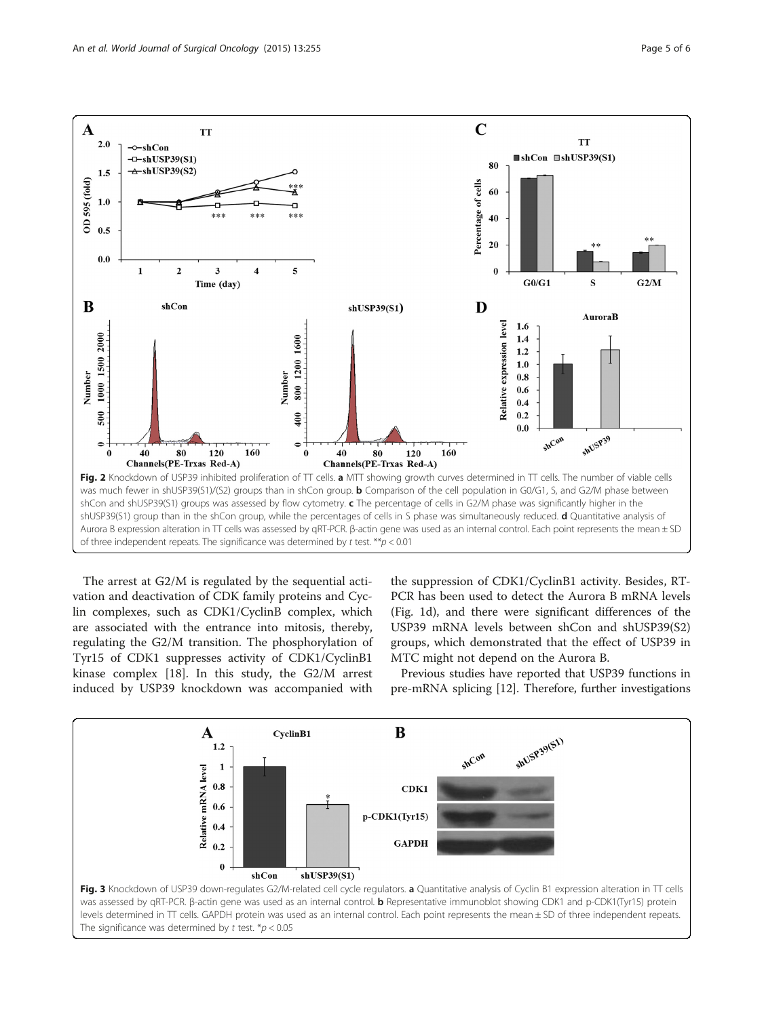<span id="page-4-0"></span>

The arrest at G2/M is regulated by the sequential activation and deactivation of CDK family proteins and Cyclin complexes, such as CDK1/CyclinB complex, which are associated with the entrance into mitosis, thereby, regulating the G2/M transition. The phosphorylation of Tyr15 of CDK1 suppresses activity of CDK1/CyclinB1 kinase complex [[18\]](#page-5-0). In this study, the G2/M arrest induced by USP39 knockdown was accompanied with

the suppression of CDK1/CyclinB1 activity. Besides, RT-PCR has been used to detect the Aurora B mRNA levels (Fig. [1d](#page-3-0)), and there were significant differences of the USP39 mRNA levels between shCon and shUSP39(S2) groups, which demonstrated that the effect of USP39 in MTC might not depend on the Aurora B.

Previous studies have reported that USP39 functions in pre-mRNA splicing [\[12\]](#page-5-0). Therefore, further investigations